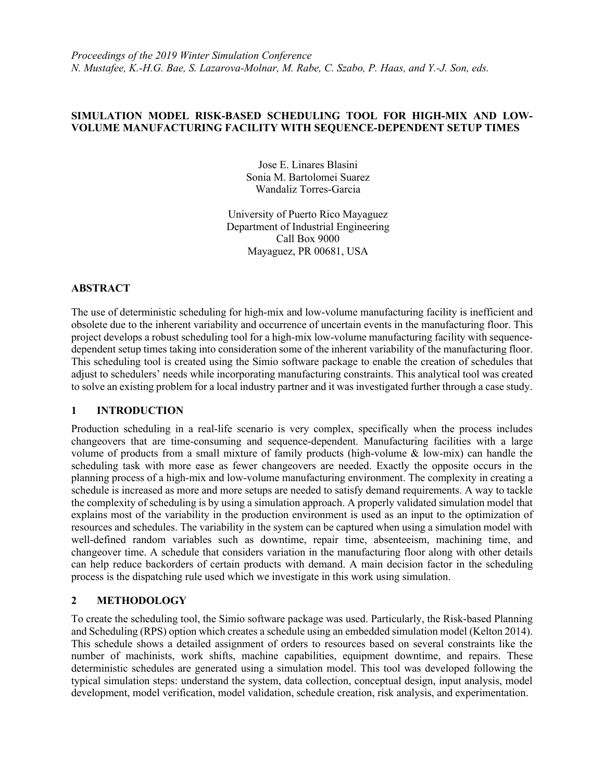# **SIMULATION MODEL RISK-BASED SCHEDULING TOOL FOR HIGH-MIX AND LOW-VOLUME MANUFACTURING FACILITY WITH SEQUENCE-DEPENDENT SETUP TIMES**

Jose E. Linares Blasini Sonia M. Bartolomei Suarez Wandaliz Torres-Garcia

University of Puerto Rico Mayaguez Department of Industrial Engineering Call Box 9000 Mayaguez, PR 00681, USA

# **ABSTRACT**

The use of deterministic scheduling for high-mix and low-volume manufacturing facility is inefficient and obsolete due to the inherent variability and occurrence of uncertain events in the manufacturing floor. This project develops a robust scheduling tool for a high-mix low-volume manufacturing facility with sequencedependent setup times taking into consideration some of the inherent variability of the manufacturing floor. This scheduling tool is created using the Simio software package to enable the creation of schedules that adjust to schedulers' needs while incorporating manufacturing constraints. This analytical tool was created to solve an existing problem for a local industry partner and it was investigated further through a case study.

## **1 INTRODUCTION**

Production scheduling in a real-life scenario is very complex, specifically when the process includes changeovers that are time-consuming and sequence-dependent. Manufacturing facilities with a large volume of products from a small mixture of family products (high-volume & low-mix) can handle the scheduling task with more ease as fewer changeovers are needed. Exactly the opposite occurs in the planning process of a high-mix and low-volume manufacturing environment. The complexity in creating a schedule is increased as more and more setups are needed to satisfy demand requirements. A way to tackle the complexity of scheduling is by using a simulation approach. A properly validated simulation model that explains most of the variability in the production environment is used as an input to the optimization of resources and schedules. The variability in the system can be captured when using a simulation model with well-defined random variables such as downtime, repair time, absenteeism, machining time, and changeover time. A schedule that considers variation in the manufacturing floor along with other details can help reduce backorders of certain products with demand. A main decision factor in the scheduling process is the dispatching rule used which we investigate in this work using simulation.

## **2 METHODOLOGY**

To create the scheduling tool, the Simio software package was used. Particularly, the Risk-based Planning and Scheduling (RPS) option which creates a schedule using an embedded simulation model (Kelton 2014). This schedule shows a detailed assignment of orders to resources based on several constraints like the number of machinists, work shifts, machine capabilities, equipment downtime, and repairs. These deterministic schedules are generated using a simulation model. This tool was developed following the typical simulation steps: understand the system, data collection, conceptual design, input analysis, model development, model verification, model validation, schedule creation, risk analysis, and experimentation.